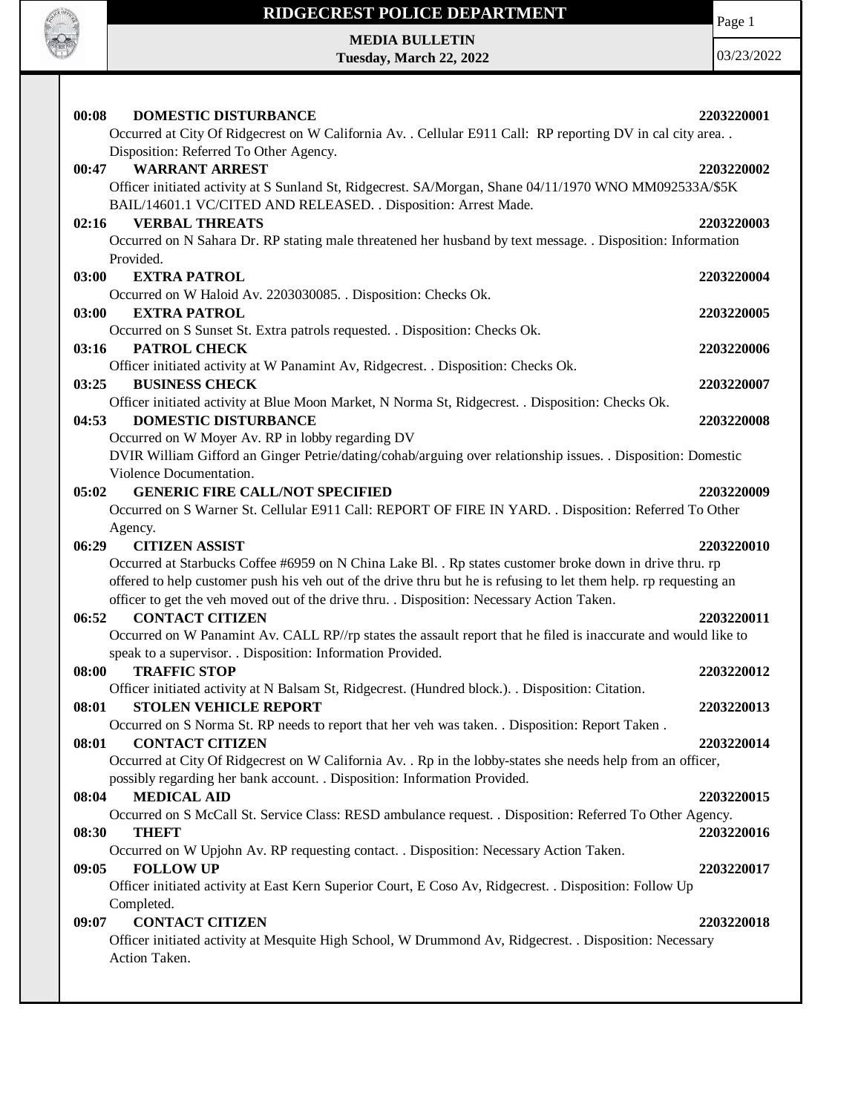

### **RIDGECREST POLICE DEPARTMENT**

Page 1

**MEDIA BULLETIN Tuesday, March 22, 2022**

| 00:08<br><b>DOMESTIC DISTURBANCE</b>                                                                                            | 2203220001 |
|---------------------------------------------------------------------------------------------------------------------------------|------------|
| Occurred at City Of Ridgecrest on W California Av. . Cellular E911 Call: RP reporting DV in cal city area. .                    |            |
| Disposition: Referred To Other Agency.                                                                                          |            |
| 00:47<br><b>WARRANT ARREST</b>                                                                                                  | 2203220002 |
| Officer initiated activity at S Sunland St, Ridgecrest. SA/Morgan, Shane 04/11/1970 WNO MM092533A/\$5K                          |            |
| BAIL/14601.1 VC/CITED AND RELEASED. . Disposition: Arrest Made.                                                                 |            |
| 02:16<br><b>VERBAL THREATS</b>                                                                                                  | 2203220003 |
| Occurred on N Sahara Dr. RP stating male threatened her husband by text message. . Disposition: Information                     |            |
| Provided.                                                                                                                       |            |
| 03:00<br><b>EXTRA PATROL</b>                                                                                                    | 2203220004 |
| Occurred on W Haloid Av. 2203030085. . Disposition: Checks Ok.                                                                  |            |
| 03:00<br><b>EXTRA PATROL</b>                                                                                                    | 2203220005 |
| Occurred on S Sunset St. Extra patrols requested. . Disposition: Checks Ok.                                                     |            |
| 03:16<br>PATROL CHECK                                                                                                           | 2203220006 |
| Officer initiated activity at W Panamint Av, Ridgecrest. . Disposition: Checks Ok.                                              |            |
| <b>BUSINESS CHECK</b><br>03:25                                                                                                  | 2203220007 |
| Officer initiated activity at Blue Moon Market, N Norma St, Ridgecrest. . Disposition: Checks Ok.                               |            |
| <b>DOMESTIC DISTURBANCE</b><br>04:53                                                                                            | 2203220008 |
| Occurred on W Moyer Av. RP in lobby regarding DV                                                                                |            |
| DVIR William Gifford an Ginger Petrie/dating/cohab/arguing over relationship issues. . Disposition: Domestic                    |            |
| Violence Documentation.                                                                                                         |            |
| 05:02<br><b>GENERIC FIRE CALL/NOT SPECIFIED</b>                                                                                 | 2203220009 |
| Occurred on S Warner St. Cellular E911 Call: REPORT OF FIRE IN YARD. . Disposition: Referred To Other                           |            |
| Agency.                                                                                                                         |            |
| 06:29<br><b>CITIZEN ASSIST</b>                                                                                                  | 2203220010 |
| Occurred at Starbucks Coffee #6959 on N China Lake Bl. . Rp states customer broke down in drive thru. rp                        |            |
| offered to help customer push his veh out of the drive thru but he is refusing to let them help. rp requesting an               |            |
| officer to get the veh moved out of the drive thru. . Disposition: Necessary Action Taken.                                      |            |
| <b>CONTACT CITIZEN</b><br>06:52                                                                                                 | 2203220011 |
| Occurred on W Panamint Av. CALL RP//rp states the assault report that he filed is inaccurate and would like to                  |            |
| speak to a supervisor. . Disposition: Information Provided.                                                                     |            |
| <b>TRAFFIC STOP</b><br>08:00                                                                                                    | 2203220012 |
| Officer initiated activity at N Balsam St, Ridgecrest. (Hundred block.). Disposition: Citation.<br><b>STOLEN VEHICLE REPORT</b> |            |
| 08:01<br>Occurred on S Norma St. RP needs to report that her veh was taken. . Disposition: Report Taken.                        | 2203220013 |
| <b>CONTACT CITIZEN</b>                                                                                                          |            |
| 08:01                                                                                                                           |            |
|                                                                                                                                 | 2203220014 |
| Occurred at City Of Ridgecrest on W California Av. . Rp in the lobby-states she needs help from an officer,                     |            |
| possibly regarding her bank account. . Disposition: Information Provided.                                                       |            |
| <b>MEDICAL AID</b><br>08:04                                                                                                     | 2203220015 |
| Occurred on S McCall St. Service Class: RESD ambulance request. . Disposition: Referred To Other Agency.                        |            |
| 08:30<br><b>THEFT</b>                                                                                                           | 2203220016 |
| Occurred on W Upjohn Av. RP requesting contact. . Disposition: Necessary Action Taken.                                          |            |
| <b>FOLLOW UP</b><br>09:05                                                                                                       | 2203220017 |
| Officer initiated activity at East Kern Superior Court, E Coso Av, Ridgecrest. . Disposition: Follow Up                         |            |
| Completed.                                                                                                                      |            |
| <b>CONTACT CITIZEN</b><br>09:07                                                                                                 | 2203220018 |
| Officer initiated activity at Mesquite High School, W Drummond Av, Ridgecrest. . Disposition: Necessary<br>Action Taken.        |            |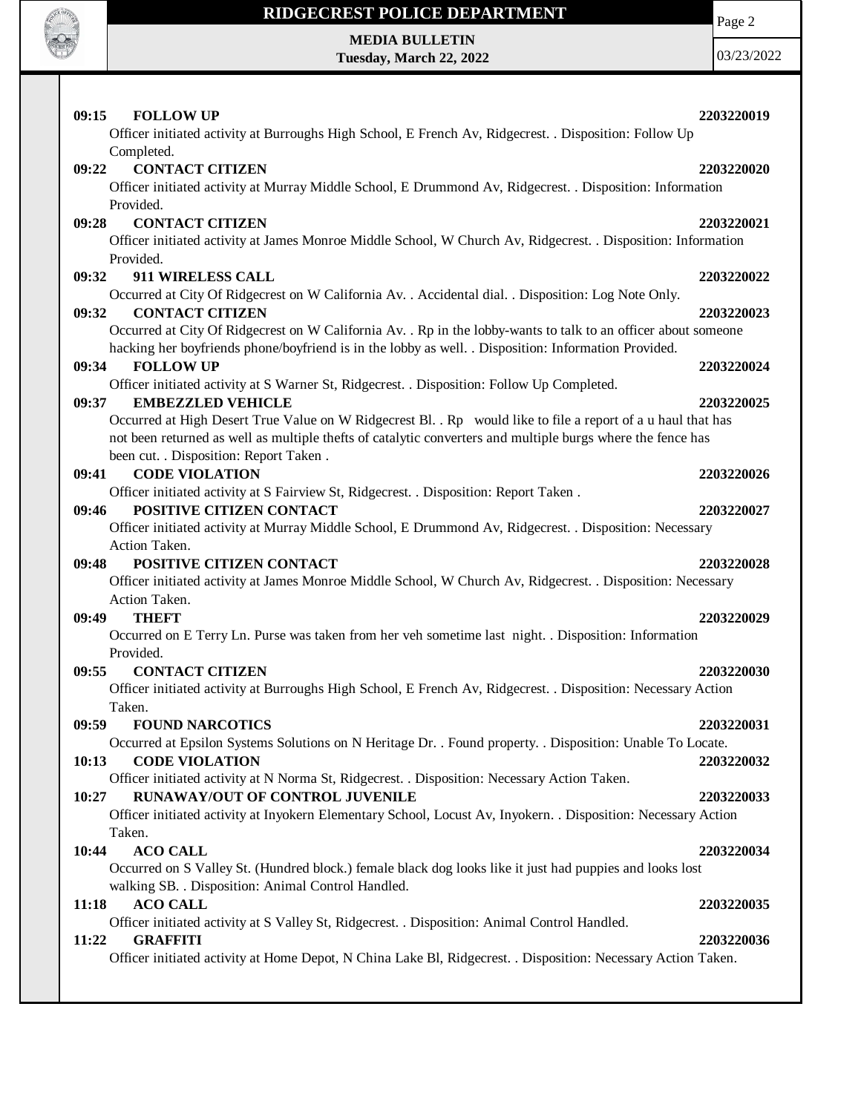

# **RIDGECREST POLICE DEPARTMENT MEDIA BULLETIN**

**Tuesday, March 22, 2022**

Page 2

| <b>FOLLOW UP</b><br>09:15                                                                                                | 2203220019 |
|--------------------------------------------------------------------------------------------------------------------------|------------|
| Officer initiated activity at Burroughs High School, E French Av, Ridgecrest. . Disposition: Follow Up<br>Completed.     |            |
| <b>CONTACT CITIZEN</b><br>09:22                                                                                          | 2203220020 |
| Officer initiated activity at Murray Middle School, E Drummond Av, Ridgecrest. . Disposition: Information                |            |
| Provided.                                                                                                                |            |
| <b>CONTACT CITIZEN</b><br>09:28                                                                                          | 2203220021 |
| Officer initiated activity at James Monroe Middle School, W Church Av, Ridgecrest. . Disposition: Information            |            |
| Provided.                                                                                                                |            |
| 09:32<br><b>911 WIRELESS CALL</b>                                                                                        | 2203220022 |
| Occurred at City Of Ridgecrest on W California Av. . Accidental dial. . Disposition: Log Note Only.                      |            |
| <b>CONTACT CITIZEN</b><br>09:32                                                                                          | 2203220023 |
| Occurred at City Of Ridgecrest on W California Av. . Rp in the lobby-wants to talk to an officer about someone           |            |
| hacking her boyfriends phone/boyfriend is in the lobby as well. . Disposition: Information Provided.                     |            |
| <b>FOLLOW UP</b><br>09:34                                                                                                | 2203220024 |
| Officer initiated activity at S Warner St, Ridgecrest. . Disposition: Follow Up Completed.                               |            |
| <b>EMBEZZLED VEHICLE</b><br>09:37                                                                                        | 2203220025 |
| Occurred at High Desert True Value on W Ridgecrest Bl. . Rp would like to file a report of a u haul that has             |            |
| not been returned as well as multiple thefts of catalytic converters and multiple burgs where the fence has              |            |
| been cut. . Disposition: Report Taken .                                                                                  |            |
| <b>CODE VIOLATION</b><br>09:41                                                                                           | 2203220026 |
| Officer initiated activity at S Fairview St, Ridgecrest. . Disposition: Report Taken.                                    |            |
| POSITIVE CITIZEN CONTACT<br>09:46                                                                                        | 2203220027 |
| Officer initiated activity at Murray Middle School, E Drummond Av, Ridgecrest. . Disposition: Necessary<br>Action Taken. |            |
|                                                                                                                          |            |
|                                                                                                                          |            |
| POSITIVE CITIZEN CONTACT<br>09:48                                                                                        | 2203220028 |
| Officer initiated activity at James Monroe Middle School, W Church Av, Ridgecrest. . Disposition: Necessary              |            |
| Action Taken.                                                                                                            |            |
| 09:49<br><b>THEFT</b>                                                                                                    | 2203220029 |
| Occurred on E Terry Ln. Purse was taken from her veh sometime last night. . Disposition: Information                     |            |
| Provided.                                                                                                                |            |
| 09:55<br><b>CONTACT CITIZEN</b>                                                                                          | 2203220030 |
| Officer initiated activity at Burroughs High School, E French Av, Ridgecrest. . Disposition: Necessary Action<br>Taken.  |            |
| 09:59<br><b>FOUND NARCOTICS</b>                                                                                          | 2203220031 |
| Occurred at Epsilon Systems Solutions on N Heritage Dr. . Found property. . Disposition: Unable To Locate.               |            |
| <b>CODE VIOLATION</b><br>10:13                                                                                           | 2203220032 |
| Officer initiated activity at N Norma St, Ridgecrest. . Disposition: Necessary Action Taken.                             |            |
| RUNAWAY/OUT OF CONTROL JUVENILE<br>10:27                                                                                 | 2203220033 |
| Officer initiated activity at Inyokern Elementary School, Locust Av, Inyokern. . Disposition: Necessary Action           |            |
| Taken.                                                                                                                   |            |
| 10:44<br><b>ACO CALL</b>                                                                                                 | 2203220034 |
| Occurred on S Valley St. (Hundred block.) female black dog looks like it just had puppies and looks lost                 |            |
| walking SB. . Disposition: Animal Control Handled.                                                                       |            |
| <b>ACO CALL</b><br>11:18                                                                                                 | 2203220035 |
| Officer initiated activity at S Valley St, Ridgecrest. . Disposition: Animal Control Handled.                            |            |
| <b>GRAFFITI</b><br>11:22                                                                                                 | 2203220036 |
| Officer initiated activity at Home Depot, N China Lake Bl, Ridgecrest. . Disposition: Necessary Action Taken.            |            |
|                                                                                                                          |            |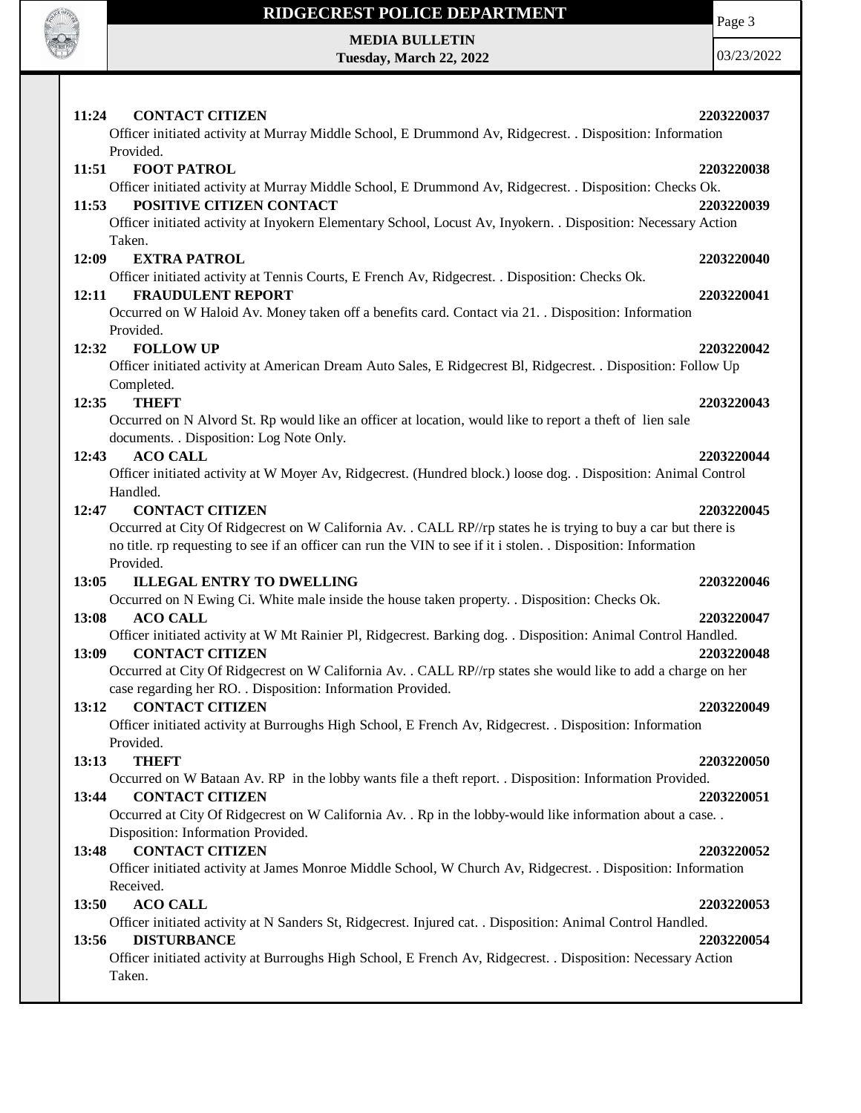

# **RIDGECREST POLICE DEPARTMENT MEDIA BULLETIN**

**Tuesday, March 22, 2022**

Page 3

| 11:24<br><b>CONTACT CITIZEN</b>                                                                                        | 2203220037 |
|------------------------------------------------------------------------------------------------------------------------|------------|
| Officer initiated activity at Murray Middle School, E Drummond Av, Ridgecrest. . Disposition: Information<br>Provided. |            |
| <b>FOOT PATROL</b><br>11:51                                                                                            | 2203220038 |
| Officer initiated activity at Murray Middle School, E Drummond Av, Ridgecrest. . Disposition: Checks Ok.               |            |
| POSITIVE CITIZEN CONTACT<br>11:53                                                                                      | 2203220039 |
| Officer initiated activity at Inyokern Elementary School, Locust Av, Inyokern. . Disposition: Necessary Action         |            |
| Taken.                                                                                                                 |            |
| 12:09<br><b>EXTRA PATROL</b>                                                                                           | 2203220040 |
| Officer initiated activity at Tennis Courts, E French Av, Ridgecrest. . Disposition: Checks Ok.                        |            |
| <b>FRAUDULENT REPORT</b><br>12:11                                                                                      | 2203220041 |
| Occurred on W Haloid Av. Money taken off a benefits card. Contact via 21. . Disposition: Information<br>Provided.      |            |
| <b>FOLLOW UP</b><br>12:32                                                                                              | 2203220042 |
| Officer initiated activity at American Dream Auto Sales, E Ridgecrest Bl, Ridgecrest. . Disposition: Follow Up         |            |
|                                                                                                                        |            |
| Completed.<br><b>THEFT</b><br>12:35                                                                                    | 2203220043 |
| Occurred on N Alvord St. Rp would like an officer at location, would like to report a theft of lien sale               |            |
| documents. . Disposition: Log Note Only.                                                                               |            |
| 12:43<br><b>ACO CALL</b>                                                                                               | 2203220044 |
| Officer initiated activity at W Moyer Av, Ridgecrest. (Hundred block.) loose dog. . Disposition: Animal Control        |            |
| Handled.                                                                                                               |            |
| <b>CONTACT CITIZEN</b><br>12:47                                                                                        | 2203220045 |
| Occurred at City Of Ridgecrest on W California Av. . CALL RP//rp states he is trying to buy a car but there is         |            |
| no title. rp requesting to see if an officer can run the VIN to see if it i stolen. . Disposition: Information         |            |
| Provided.                                                                                                              |            |
| 13:05<br><b>ILLEGAL ENTRY TO DWELLING</b>                                                                              | 2203220046 |
| Occurred on N Ewing Ci. White male inside the house taken property. . Disposition: Checks Ok.                          |            |
| <b>ACO CALL</b><br>13:08                                                                                               | 2203220047 |
| Officer initiated activity at W Mt Rainier Pl, Ridgecrest. Barking dog. . Disposition: Animal Control Handled.         |            |
| <b>CONTACT CITIZEN</b><br>13:09                                                                                        | 2203220048 |
| Occurred at City Of Ridgecrest on W California Av. . CALL RP//rp states she would like to add a charge on her          |            |
| case regarding her RO. . Disposition: Information Provided.                                                            |            |
| <b>CONTACT CITIZEN</b><br>13:12                                                                                        | 2203220049 |
| Officer initiated activity at Burroughs High School, E French Av, Ridgecrest. . Disposition: Information               |            |
| Provided.                                                                                                              |            |
| <b>THEFT</b><br>13:13                                                                                                  | 2203220050 |
| Occurred on W Bataan Av. RP in the lobby wants file a theft report. . Disposition: Information Provided.               |            |
| 13:44<br><b>CONTACT CITIZEN</b>                                                                                        | 2203220051 |
| Occurred at City Of Ridgecrest on W California Av. . Rp in the lobby-would like information about a case. .            |            |
| Disposition: Information Provided.                                                                                     |            |
| <b>CONTACT CITIZEN</b><br>13:48                                                                                        | 2203220052 |
| Officer initiated activity at James Monroe Middle School, W Church Av, Ridgecrest. . Disposition: Information          |            |
| Received.                                                                                                              |            |
| 13:50<br><b>ACO CALL</b>                                                                                               | 2203220053 |
| Officer initiated activity at N Sanders St, Ridgecrest. Injured cat. . Disposition: Animal Control Handled.            |            |
| 13:56<br><b>DISTURBANCE</b>                                                                                            | 2203220054 |
| Officer initiated activity at Burroughs High School, E French Av, Ridgecrest. . Disposition: Necessary Action          |            |
| Taken.                                                                                                                 |            |
|                                                                                                                        |            |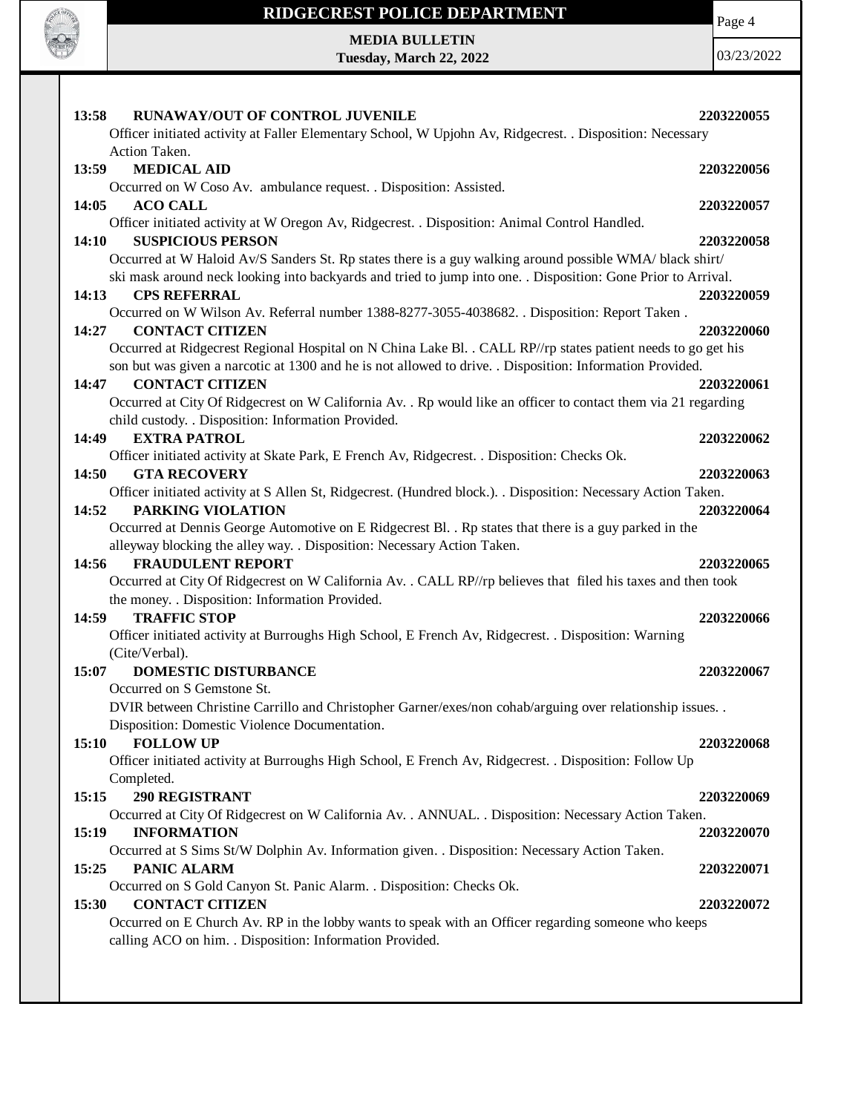

### **RIDGECREST POLICE DEPARTMENT**

Page 4

**MEDIA BULLETIN Tuesday, March 22, 2022**

| RUNAWAY/OUT OF CONTROL JUVENILE<br>2203220055<br>13:58                                                         |  |
|----------------------------------------------------------------------------------------------------------------|--|
| Officer initiated activity at Faller Elementary School, W Upjohn Av, Ridgecrest. . Disposition: Necessary      |  |
| Action Taken.                                                                                                  |  |
| 13:59<br><b>MEDICAL AID</b><br>2203220056                                                                      |  |
| Occurred on W Coso Av. ambulance request. . Disposition: Assisted.                                             |  |
| 14:05<br><b>ACO CALL</b><br>2203220057                                                                         |  |
| Officer initiated activity at W Oregon Av, Ridgecrest. . Disposition: Animal Control Handled.                  |  |
| <b>SUSPICIOUS PERSON</b><br>14:10<br>2203220058                                                                |  |
| Occurred at W Haloid Av/S Sanders St. Rp states there is a guy walking around possible WMA/ black shirt/       |  |
| ski mask around neck looking into backyards and tried to jump into one. . Disposition: Gone Prior to Arrival.  |  |
| <b>CPS REFERRAL</b><br>14:13<br>2203220059                                                                     |  |
| Occurred on W Wilson Av. Referral number 1388-8277-3055-4038682. . Disposition: Report Taken.                  |  |
| <b>CONTACT CITIZEN</b><br>14:27<br>2203220060                                                                  |  |
| Occurred at Ridgecrest Regional Hospital on N China Lake Bl. . CALL RP//rp states patient needs to go get his  |  |
| son but was given a narcotic at 1300 and he is not allowed to drive. . Disposition: Information Provided.      |  |
| <b>CONTACT CITIZEN</b><br>14:47<br>2203220061                                                                  |  |
| Occurred at City Of Ridgecrest on W California Av. . Rp would like an officer to contact them via 21 regarding |  |
| child custody. . Disposition: Information Provided.                                                            |  |
| <b>EXTRA PATROL</b><br>14:49<br>2203220062                                                                     |  |
| Officer initiated activity at Skate Park, E French Av, Ridgecrest. . Disposition: Checks Ok.                   |  |
| <b>GTA RECOVERY</b><br>14:50<br>2203220063                                                                     |  |
| Officer initiated activity at S Allen St, Ridgecrest. (Hundred block.). . Disposition: Necessary Action Taken. |  |
| 14:52<br>PARKING VIOLATION<br>2203220064                                                                       |  |
| Occurred at Dennis George Automotive on E Ridgecrest Bl. . Rp states that there is a guy parked in the         |  |
| alleyway blocking the alley way. . Disposition: Necessary Action Taken.                                        |  |
| <b>FRAUDULENT REPORT</b><br>14:56<br>2203220065                                                                |  |
| Occurred at City Of Ridgecrest on W California Av. . CALL RP//rp believes that filed his taxes and then took   |  |
| the money. . Disposition: Information Provided.                                                                |  |
| <b>TRAFFIC STOP</b><br>14:59<br>2203220066                                                                     |  |
| Officer initiated activity at Burroughs High School, E French Av, Ridgecrest. . Disposition: Warning           |  |
| (Cite/Verbal).                                                                                                 |  |
| <b>DOMESTIC DISTURBANCE</b><br>15:07<br>2203220067                                                             |  |
| Occurred on S Gemstone St.                                                                                     |  |
| DVIR between Christine Carrillo and Christopher Garner/exes/non cohab/arguing over relationship issues. .      |  |
| Disposition: Domestic Violence Documentation.                                                                  |  |
| <b>FOLLOW UP</b><br>15:10<br>2203220068                                                                        |  |
| Officer initiated activity at Burroughs High School, E French Av, Ridgecrest. . Disposition: Follow Up         |  |
| Completed.                                                                                                     |  |
| <b>290 REGISTRANT</b><br>15:15<br>2203220069                                                                   |  |
| Occurred at City Of Ridgecrest on W California Av. . ANNUAL. . Disposition: Necessary Action Taken.            |  |
| <b>INFORMATION</b><br>15:19<br>2203220070                                                                      |  |
| Occurred at S Sims St/W Dolphin Av. Information given. . Disposition: Necessary Action Taken.                  |  |
| PANIC ALARM<br>15:25<br>2203220071                                                                             |  |
| Occurred on S Gold Canyon St. Panic Alarm. . Disposition: Checks Ok.                                           |  |
| <b>CONTACT CITIZEN</b><br>15:30<br>2203220072                                                                  |  |
| Occurred on E Church Av. RP in the lobby wants to speak with an Officer regarding someone who keeps            |  |
| calling ACO on him. . Disposition: Information Provided.                                                       |  |
|                                                                                                                |  |
|                                                                                                                |  |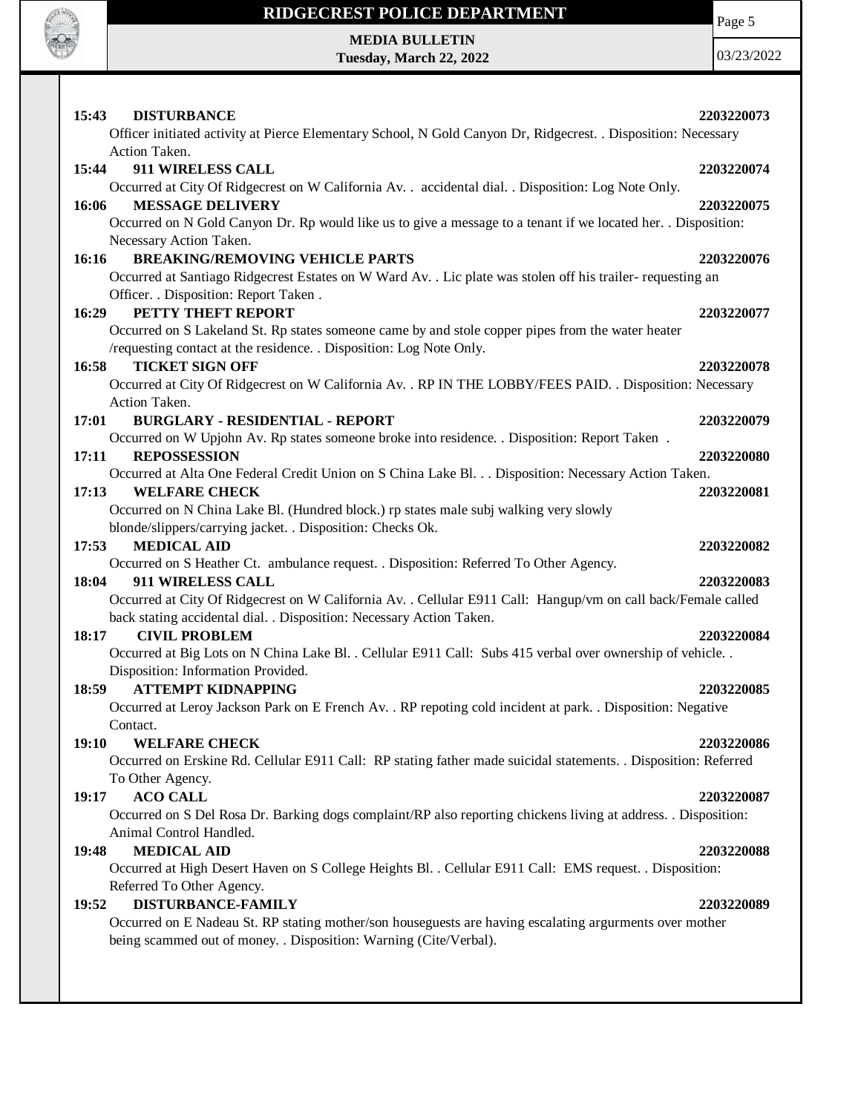

# **RIDGECREST POLICE DEPARTMENT MEDIA BULLETIN**

**Tuesday, March 22, 2022**

Page 5

| Officer initiated activity at Pierce Elementary School, N Gold Canyon Dr, Ridgecrest. . Disposition: Necessary<br>Action Taken.<br>911 WIRELESS CALL<br>15:44<br>2203220074<br>Occurred at City Of Ridgecrest on W California Av. . accidental dial. . Disposition: Log Note Only.<br>16:06<br><b>MESSAGE DELIVERY</b><br>2203220075<br>Occurred on N Gold Canyon Dr. Rp would like us to give a message to a tenant if we located her. . Disposition:<br>Necessary Action Taken.<br><b>BREAKING/REMOVING VEHICLE PARTS</b><br>2203220076<br>Occurred at Santiago Ridgecrest Estates on W Ward Av. . Lic plate was stolen off his trailer-requesting an<br>Officer. . Disposition: Report Taken .<br>PETTY THEFT REPORT<br>2203220077<br>Occurred on S Lakeland St. Rp states someone came by and stole copper pipes from the water heater<br>/requesting contact at the residence. . Disposition: Log Note Only.<br><b>TICKET SIGN OFF</b><br>2203220078<br>Occurred at City Of Ridgecrest on W California Av. . RP IN THE LOBBY/FEES PAID. . Disposition: Necessary<br>Action Taken.<br>17:01<br><b>BURGLARY - RESIDENTIAL - REPORT</b><br>2203220079<br>Occurred on W Upjohn Av. Rp states someone broke into residence. . Disposition: Report Taken .<br>17:11<br><b>REPOSSESSION</b><br>2203220080<br>Occurred at Alta One Federal Credit Union on S China Lake Bl. Disposition: Necessary Action Taken.<br>17:13<br><b>WELFARE CHECK</b><br>2203220081<br>Occurred on N China Lake Bl. (Hundred block.) rp states male subj walking very slowly<br>blonde/slippers/carrying jacket. . Disposition: Checks Ok.<br><b>MEDICAL AID</b><br>17:53<br>2203220082<br>Occurred on S Heather Ct. ambulance request. . Disposition: Referred To Other Agency.<br>911 WIRELESS CALL<br>18:04<br>2203220083<br>Occurred at City Of Ridgecrest on W California Av. . Cellular E911 Call: Hangup/vm on call back/Female called<br>back stating accidental dial. . Disposition: Necessary Action Taken.<br><b>CIVIL PROBLEM</b><br>2203220084<br>Occurred at Big Lots on N China Lake Bl. . Cellular E911 Call: Subs 415 verbal over ownership of vehicle. .<br>Disposition: Information Provided.<br><b>ATTEMPT KIDNAPPING</b><br>2203220085<br>Occurred at Leroy Jackson Park on E French Av. . RP repoting cold incident at park. . Disposition: Negative<br>Contact.<br><b>WELFARE CHECK</b><br>2203220086<br>Occurred on Erskine Rd. Cellular E911 Call: RP stating father made suicidal statements. . Disposition: Referred<br>To Other Agency.<br><b>ACO CALL</b><br>19:17<br>2203220087<br>Occurred on S Del Rosa Dr. Barking dogs complaint/RP also reporting chickens living at address. . Disposition:<br>Animal Control Handled.<br><b>MEDICAL AID</b><br>19:48<br>2203220088<br>Occurred at High Desert Haven on S College Heights Bl. . Cellular E911 Call: EMS request. . Disposition:<br>Referred To Other Agency.<br><b>DISTURBANCE-FAMILY</b><br>19:52<br>2203220089<br>Occurred on E Nadeau St. RP stating mother/son houseguests are having escalating arguments over mother<br>being scammed out of money. . Disposition: Warning (Cite/Verbal). | 15:43        | <b>DISTURBANCE</b> | 2203220073 |
|--------------------------------------------------------------------------------------------------------------------------------------------------------------------------------------------------------------------------------------------------------------------------------------------------------------------------------------------------------------------------------------------------------------------------------------------------------------------------------------------------------------------------------------------------------------------------------------------------------------------------------------------------------------------------------------------------------------------------------------------------------------------------------------------------------------------------------------------------------------------------------------------------------------------------------------------------------------------------------------------------------------------------------------------------------------------------------------------------------------------------------------------------------------------------------------------------------------------------------------------------------------------------------------------------------------------------------------------------------------------------------------------------------------------------------------------------------------------------------------------------------------------------------------------------------------------------------------------------------------------------------------------------------------------------------------------------------------------------------------------------------------------------------------------------------------------------------------------------------------------------------------------------------------------------------------------------------------------------------------------------------------------------------------------------------------------------------------------------------------------------------------------------------------------------------------------------------------------------------------------------------------------------------------------------------------------------------------------------------------------------------------------------------------------------------------------------------------------------------------------------------------------------------------------------------------------------------------------------------------------------------------------------------------------------------------------------------------------------------------------------------------------------------------------------------------------------------------------------------------------------------------------------------------------------------------------------------------------------------------------------------------------------------------------------------------------------------------------------------------------------------------------------------------|--------------|--------------------|------------|
|                                                                                                                                                                                                                                                                                                                                                                                                                                                                                                                                                                                                                                                                                                                                                                                                                                                                                                                                                                                                                                                                                                                                                                                                                                                                                                                                                                                                                                                                                                                                                                                                                                                                                                                                                                                                                                                                                                                                                                                                                                                                                                                                                                                                                                                                                                                                                                                                                                                                                                                                                                                                                                                                                                                                                                                                                                                                                                                                                                                                                                                                                                                                                              |              |                    |            |
|                                                                                                                                                                                                                                                                                                                                                                                                                                                                                                                                                                                                                                                                                                                                                                                                                                                                                                                                                                                                                                                                                                                                                                                                                                                                                                                                                                                                                                                                                                                                                                                                                                                                                                                                                                                                                                                                                                                                                                                                                                                                                                                                                                                                                                                                                                                                                                                                                                                                                                                                                                                                                                                                                                                                                                                                                                                                                                                                                                                                                                                                                                                                                              |              |                    |            |
|                                                                                                                                                                                                                                                                                                                                                                                                                                                                                                                                                                                                                                                                                                                                                                                                                                                                                                                                                                                                                                                                                                                                                                                                                                                                                                                                                                                                                                                                                                                                                                                                                                                                                                                                                                                                                                                                                                                                                                                                                                                                                                                                                                                                                                                                                                                                                                                                                                                                                                                                                                                                                                                                                                                                                                                                                                                                                                                                                                                                                                                                                                                                                              |              |                    |            |
|                                                                                                                                                                                                                                                                                                                                                                                                                                                                                                                                                                                                                                                                                                                                                                                                                                                                                                                                                                                                                                                                                                                                                                                                                                                                                                                                                                                                                                                                                                                                                                                                                                                                                                                                                                                                                                                                                                                                                                                                                                                                                                                                                                                                                                                                                                                                                                                                                                                                                                                                                                                                                                                                                                                                                                                                                                                                                                                                                                                                                                                                                                                                                              |              |                    |            |
|                                                                                                                                                                                                                                                                                                                                                                                                                                                                                                                                                                                                                                                                                                                                                                                                                                                                                                                                                                                                                                                                                                                                                                                                                                                                                                                                                                                                                                                                                                                                                                                                                                                                                                                                                                                                                                                                                                                                                                                                                                                                                                                                                                                                                                                                                                                                                                                                                                                                                                                                                                                                                                                                                                                                                                                                                                                                                                                                                                                                                                                                                                                                                              |              |                    |            |
|                                                                                                                                                                                                                                                                                                                                                                                                                                                                                                                                                                                                                                                                                                                                                                                                                                                                                                                                                                                                                                                                                                                                                                                                                                                                                                                                                                                                                                                                                                                                                                                                                                                                                                                                                                                                                                                                                                                                                                                                                                                                                                                                                                                                                                                                                                                                                                                                                                                                                                                                                                                                                                                                                                                                                                                                                                                                                                                                                                                                                                                                                                                                                              |              |                    |            |
|                                                                                                                                                                                                                                                                                                                                                                                                                                                                                                                                                                                                                                                                                                                                                                                                                                                                                                                                                                                                                                                                                                                                                                                                                                                                                                                                                                                                                                                                                                                                                                                                                                                                                                                                                                                                                                                                                                                                                                                                                                                                                                                                                                                                                                                                                                                                                                                                                                                                                                                                                                                                                                                                                                                                                                                                                                                                                                                                                                                                                                                                                                                                                              | 16:16        |                    |            |
|                                                                                                                                                                                                                                                                                                                                                                                                                                                                                                                                                                                                                                                                                                                                                                                                                                                                                                                                                                                                                                                                                                                                                                                                                                                                                                                                                                                                                                                                                                                                                                                                                                                                                                                                                                                                                                                                                                                                                                                                                                                                                                                                                                                                                                                                                                                                                                                                                                                                                                                                                                                                                                                                                                                                                                                                                                                                                                                                                                                                                                                                                                                                                              |              |                    |            |
|                                                                                                                                                                                                                                                                                                                                                                                                                                                                                                                                                                                                                                                                                                                                                                                                                                                                                                                                                                                                                                                                                                                                                                                                                                                                                                                                                                                                                                                                                                                                                                                                                                                                                                                                                                                                                                                                                                                                                                                                                                                                                                                                                                                                                                                                                                                                                                                                                                                                                                                                                                                                                                                                                                                                                                                                                                                                                                                                                                                                                                                                                                                                                              |              |                    |            |
|                                                                                                                                                                                                                                                                                                                                                                                                                                                                                                                                                                                                                                                                                                                                                                                                                                                                                                                                                                                                                                                                                                                                                                                                                                                                                                                                                                                                                                                                                                                                                                                                                                                                                                                                                                                                                                                                                                                                                                                                                                                                                                                                                                                                                                                                                                                                                                                                                                                                                                                                                                                                                                                                                                                                                                                                                                                                                                                                                                                                                                                                                                                                                              | 16:29        |                    |            |
|                                                                                                                                                                                                                                                                                                                                                                                                                                                                                                                                                                                                                                                                                                                                                                                                                                                                                                                                                                                                                                                                                                                                                                                                                                                                                                                                                                                                                                                                                                                                                                                                                                                                                                                                                                                                                                                                                                                                                                                                                                                                                                                                                                                                                                                                                                                                                                                                                                                                                                                                                                                                                                                                                                                                                                                                                                                                                                                                                                                                                                                                                                                                                              |              |                    |            |
|                                                                                                                                                                                                                                                                                                                                                                                                                                                                                                                                                                                                                                                                                                                                                                                                                                                                                                                                                                                                                                                                                                                                                                                                                                                                                                                                                                                                                                                                                                                                                                                                                                                                                                                                                                                                                                                                                                                                                                                                                                                                                                                                                                                                                                                                                                                                                                                                                                                                                                                                                                                                                                                                                                                                                                                                                                                                                                                                                                                                                                                                                                                                                              |              |                    |            |
|                                                                                                                                                                                                                                                                                                                                                                                                                                                                                                                                                                                                                                                                                                                                                                                                                                                                                                                                                                                                                                                                                                                                                                                                                                                                                                                                                                                                                                                                                                                                                                                                                                                                                                                                                                                                                                                                                                                                                                                                                                                                                                                                                                                                                                                                                                                                                                                                                                                                                                                                                                                                                                                                                                                                                                                                                                                                                                                                                                                                                                                                                                                                                              | 16:58        |                    |            |
|                                                                                                                                                                                                                                                                                                                                                                                                                                                                                                                                                                                                                                                                                                                                                                                                                                                                                                                                                                                                                                                                                                                                                                                                                                                                                                                                                                                                                                                                                                                                                                                                                                                                                                                                                                                                                                                                                                                                                                                                                                                                                                                                                                                                                                                                                                                                                                                                                                                                                                                                                                                                                                                                                                                                                                                                                                                                                                                                                                                                                                                                                                                                                              |              |                    |            |
|                                                                                                                                                                                                                                                                                                                                                                                                                                                                                                                                                                                                                                                                                                                                                                                                                                                                                                                                                                                                                                                                                                                                                                                                                                                                                                                                                                                                                                                                                                                                                                                                                                                                                                                                                                                                                                                                                                                                                                                                                                                                                                                                                                                                                                                                                                                                                                                                                                                                                                                                                                                                                                                                                                                                                                                                                                                                                                                                                                                                                                                                                                                                                              |              |                    |            |
|                                                                                                                                                                                                                                                                                                                                                                                                                                                                                                                                                                                                                                                                                                                                                                                                                                                                                                                                                                                                                                                                                                                                                                                                                                                                                                                                                                                                                                                                                                                                                                                                                                                                                                                                                                                                                                                                                                                                                                                                                                                                                                                                                                                                                                                                                                                                                                                                                                                                                                                                                                                                                                                                                                                                                                                                                                                                                                                                                                                                                                                                                                                                                              |              |                    |            |
|                                                                                                                                                                                                                                                                                                                                                                                                                                                                                                                                                                                                                                                                                                                                                                                                                                                                                                                                                                                                                                                                                                                                                                                                                                                                                                                                                                                                                                                                                                                                                                                                                                                                                                                                                                                                                                                                                                                                                                                                                                                                                                                                                                                                                                                                                                                                                                                                                                                                                                                                                                                                                                                                                                                                                                                                                                                                                                                                                                                                                                                                                                                                                              |              |                    |            |
|                                                                                                                                                                                                                                                                                                                                                                                                                                                                                                                                                                                                                                                                                                                                                                                                                                                                                                                                                                                                                                                                                                                                                                                                                                                                                                                                                                                                                                                                                                                                                                                                                                                                                                                                                                                                                                                                                                                                                                                                                                                                                                                                                                                                                                                                                                                                                                                                                                                                                                                                                                                                                                                                                                                                                                                                                                                                                                                                                                                                                                                                                                                                                              |              |                    |            |
|                                                                                                                                                                                                                                                                                                                                                                                                                                                                                                                                                                                                                                                                                                                                                                                                                                                                                                                                                                                                                                                                                                                                                                                                                                                                                                                                                                                                                                                                                                                                                                                                                                                                                                                                                                                                                                                                                                                                                                                                                                                                                                                                                                                                                                                                                                                                                                                                                                                                                                                                                                                                                                                                                                                                                                                                                                                                                                                                                                                                                                                                                                                                                              |              |                    |            |
|                                                                                                                                                                                                                                                                                                                                                                                                                                                                                                                                                                                                                                                                                                                                                                                                                                                                                                                                                                                                                                                                                                                                                                                                                                                                                                                                                                                                                                                                                                                                                                                                                                                                                                                                                                                                                                                                                                                                                                                                                                                                                                                                                                                                                                                                                                                                                                                                                                                                                                                                                                                                                                                                                                                                                                                                                                                                                                                                                                                                                                                                                                                                                              |              |                    |            |
|                                                                                                                                                                                                                                                                                                                                                                                                                                                                                                                                                                                                                                                                                                                                                                                                                                                                                                                                                                                                                                                                                                                                                                                                                                                                                                                                                                                                                                                                                                                                                                                                                                                                                                                                                                                                                                                                                                                                                                                                                                                                                                                                                                                                                                                                                                                                                                                                                                                                                                                                                                                                                                                                                                                                                                                                                                                                                                                                                                                                                                                                                                                                                              |              |                    |            |
|                                                                                                                                                                                                                                                                                                                                                                                                                                                                                                                                                                                                                                                                                                                                                                                                                                                                                                                                                                                                                                                                                                                                                                                                                                                                                                                                                                                                                                                                                                                                                                                                                                                                                                                                                                                                                                                                                                                                                                                                                                                                                                                                                                                                                                                                                                                                                                                                                                                                                                                                                                                                                                                                                                                                                                                                                                                                                                                                                                                                                                                                                                                                                              |              |                    |            |
|                                                                                                                                                                                                                                                                                                                                                                                                                                                                                                                                                                                                                                                                                                                                                                                                                                                                                                                                                                                                                                                                                                                                                                                                                                                                                                                                                                                                                                                                                                                                                                                                                                                                                                                                                                                                                                                                                                                                                                                                                                                                                                                                                                                                                                                                                                                                                                                                                                                                                                                                                                                                                                                                                                                                                                                                                                                                                                                                                                                                                                                                                                                                                              |              |                    |            |
|                                                                                                                                                                                                                                                                                                                                                                                                                                                                                                                                                                                                                                                                                                                                                                                                                                                                                                                                                                                                                                                                                                                                                                                                                                                                                                                                                                                                                                                                                                                                                                                                                                                                                                                                                                                                                                                                                                                                                                                                                                                                                                                                                                                                                                                                                                                                                                                                                                                                                                                                                                                                                                                                                                                                                                                                                                                                                                                                                                                                                                                                                                                                                              |              |                    |            |
|                                                                                                                                                                                                                                                                                                                                                                                                                                                                                                                                                                                                                                                                                                                                                                                                                                                                                                                                                                                                                                                                                                                                                                                                                                                                                                                                                                                                                                                                                                                                                                                                                                                                                                                                                                                                                                                                                                                                                                                                                                                                                                                                                                                                                                                                                                                                                                                                                                                                                                                                                                                                                                                                                                                                                                                                                                                                                                                                                                                                                                                                                                                                                              |              |                    |            |
|                                                                                                                                                                                                                                                                                                                                                                                                                                                                                                                                                                                                                                                                                                                                                                                                                                                                                                                                                                                                                                                                                                                                                                                                                                                                                                                                                                                                                                                                                                                                                                                                                                                                                                                                                                                                                                                                                                                                                                                                                                                                                                                                                                                                                                                                                                                                                                                                                                                                                                                                                                                                                                                                                                                                                                                                                                                                                                                                                                                                                                                                                                                                                              |              |                    |            |
|                                                                                                                                                                                                                                                                                                                                                                                                                                                                                                                                                                                                                                                                                                                                                                                                                                                                                                                                                                                                                                                                                                                                                                                                                                                                                                                                                                                                                                                                                                                                                                                                                                                                                                                                                                                                                                                                                                                                                                                                                                                                                                                                                                                                                                                                                                                                                                                                                                                                                                                                                                                                                                                                                                                                                                                                                                                                                                                                                                                                                                                                                                                                                              | 18:17        |                    |            |
|                                                                                                                                                                                                                                                                                                                                                                                                                                                                                                                                                                                                                                                                                                                                                                                                                                                                                                                                                                                                                                                                                                                                                                                                                                                                                                                                                                                                                                                                                                                                                                                                                                                                                                                                                                                                                                                                                                                                                                                                                                                                                                                                                                                                                                                                                                                                                                                                                                                                                                                                                                                                                                                                                                                                                                                                                                                                                                                                                                                                                                                                                                                                                              |              |                    |            |
|                                                                                                                                                                                                                                                                                                                                                                                                                                                                                                                                                                                                                                                                                                                                                                                                                                                                                                                                                                                                                                                                                                                                                                                                                                                                                                                                                                                                                                                                                                                                                                                                                                                                                                                                                                                                                                                                                                                                                                                                                                                                                                                                                                                                                                                                                                                                                                                                                                                                                                                                                                                                                                                                                                                                                                                                                                                                                                                                                                                                                                                                                                                                                              |              |                    |            |
|                                                                                                                                                                                                                                                                                                                                                                                                                                                                                                                                                                                                                                                                                                                                                                                                                                                                                                                                                                                                                                                                                                                                                                                                                                                                                                                                                                                                                                                                                                                                                                                                                                                                                                                                                                                                                                                                                                                                                                                                                                                                                                                                                                                                                                                                                                                                                                                                                                                                                                                                                                                                                                                                                                                                                                                                                                                                                                                                                                                                                                                                                                                                                              | 18:59        |                    |            |
|                                                                                                                                                                                                                                                                                                                                                                                                                                                                                                                                                                                                                                                                                                                                                                                                                                                                                                                                                                                                                                                                                                                                                                                                                                                                                                                                                                                                                                                                                                                                                                                                                                                                                                                                                                                                                                                                                                                                                                                                                                                                                                                                                                                                                                                                                                                                                                                                                                                                                                                                                                                                                                                                                                                                                                                                                                                                                                                                                                                                                                                                                                                                                              |              |                    |            |
|                                                                                                                                                                                                                                                                                                                                                                                                                                                                                                                                                                                                                                                                                                                                                                                                                                                                                                                                                                                                                                                                                                                                                                                                                                                                                                                                                                                                                                                                                                                                                                                                                                                                                                                                                                                                                                                                                                                                                                                                                                                                                                                                                                                                                                                                                                                                                                                                                                                                                                                                                                                                                                                                                                                                                                                                                                                                                                                                                                                                                                                                                                                                                              |              |                    |            |
|                                                                                                                                                                                                                                                                                                                                                                                                                                                                                                                                                                                                                                                                                                                                                                                                                                                                                                                                                                                                                                                                                                                                                                                                                                                                                                                                                                                                                                                                                                                                                                                                                                                                                                                                                                                                                                                                                                                                                                                                                                                                                                                                                                                                                                                                                                                                                                                                                                                                                                                                                                                                                                                                                                                                                                                                                                                                                                                                                                                                                                                                                                                                                              | <b>19:10</b> |                    |            |
|                                                                                                                                                                                                                                                                                                                                                                                                                                                                                                                                                                                                                                                                                                                                                                                                                                                                                                                                                                                                                                                                                                                                                                                                                                                                                                                                                                                                                                                                                                                                                                                                                                                                                                                                                                                                                                                                                                                                                                                                                                                                                                                                                                                                                                                                                                                                                                                                                                                                                                                                                                                                                                                                                                                                                                                                                                                                                                                                                                                                                                                                                                                                                              |              |                    |            |
|                                                                                                                                                                                                                                                                                                                                                                                                                                                                                                                                                                                                                                                                                                                                                                                                                                                                                                                                                                                                                                                                                                                                                                                                                                                                                                                                                                                                                                                                                                                                                                                                                                                                                                                                                                                                                                                                                                                                                                                                                                                                                                                                                                                                                                                                                                                                                                                                                                                                                                                                                                                                                                                                                                                                                                                                                                                                                                                                                                                                                                                                                                                                                              |              |                    |            |
|                                                                                                                                                                                                                                                                                                                                                                                                                                                                                                                                                                                                                                                                                                                                                                                                                                                                                                                                                                                                                                                                                                                                                                                                                                                                                                                                                                                                                                                                                                                                                                                                                                                                                                                                                                                                                                                                                                                                                                                                                                                                                                                                                                                                                                                                                                                                                                                                                                                                                                                                                                                                                                                                                                                                                                                                                                                                                                                                                                                                                                                                                                                                                              |              |                    |            |
|                                                                                                                                                                                                                                                                                                                                                                                                                                                                                                                                                                                                                                                                                                                                                                                                                                                                                                                                                                                                                                                                                                                                                                                                                                                                                                                                                                                                                                                                                                                                                                                                                                                                                                                                                                                                                                                                                                                                                                                                                                                                                                                                                                                                                                                                                                                                                                                                                                                                                                                                                                                                                                                                                                                                                                                                                                                                                                                                                                                                                                                                                                                                                              |              |                    |            |
|                                                                                                                                                                                                                                                                                                                                                                                                                                                                                                                                                                                                                                                                                                                                                                                                                                                                                                                                                                                                                                                                                                                                                                                                                                                                                                                                                                                                                                                                                                                                                                                                                                                                                                                                                                                                                                                                                                                                                                                                                                                                                                                                                                                                                                                                                                                                                                                                                                                                                                                                                                                                                                                                                                                                                                                                                                                                                                                                                                                                                                                                                                                                                              |              |                    |            |
|                                                                                                                                                                                                                                                                                                                                                                                                                                                                                                                                                                                                                                                                                                                                                                                                                                                                                                                                                                                                                                                                                                                                                                                                                                                                                                                                                                                                                                                                                                                                                                                                                                                                                                                                                                                                                                                                                                                                                                                                                                                                                                                                                                                                                                                                                                                                                                                                                                                                                                                                                                                                                                                                                                                                                                                                                                                                                                                                                                                                                                                                                                                                                              |              |                    |            |
|                                                                                                                                                                                                                                                                                                                                                                                                                                                                                                                                                                                                                                                                                                                                                                                                                                                                                                                                                                                                                                                                                                                                                                                                                                                                                                                                                                                                                                                                                                                                                                                                                                                                                                                                                                                                                                                                                                                                                                                                                                                                                                                                                                                                                                                                                                                                                                                                                                                                                                                                                                                                                                                                                                                                                                                                                                                                                                                                                                                                                                                                                                                                                              |              |                    |            |
|                                                                                                                                                                                                                                                                                                                                                                                                                                                                                                                                                                                                                                                                                                                                                                                                                                                                                                                                                                                                                                                                                                                                                                                                                                                                                                                                                                                                                                                                                                                                                                                                                                                                                                                                                                                                                                                                                                                                                                                                                                                                                                                                                                                                                                                                                                                                                                                                                                                                                                                                                                                                                                                                                                                                                                                                                                                                                                                                                                                                                                                                                                                                                              |              |                    |            |
|                                                                                                                                                                                                                                                                                                                                                                                                                                                                                                                                                                                                                                                                                                                                                                                                                                                                                                                                                                                                                                                                                                                                                                                                                                                                                                                                                                                                                                                                                                                                                                                                                                                                                                                                                                                                                                                                                                                                                                                                                                                                                                                                                                                                                                                                                                                                                                                                                                                                                                                                                                                                                                                                                                                                                                                                                                                                                                                                                                                                                                                                                                                                                              |              |                    |            |
|                                                                                                                                                                                                                                                                                                                                                                                                                                                                                                                                                                                                                                                                                                                                                                                                                                                                                                                                                                                                                                                                                                                                                                                                                                                                                                                                                                                                                                                                                                                                                                                                                                                                                                                                                                                                                                                                                                                                                                                                                                                                                                                                                                                                                                                                                                                                                                                                                                                                                                                                                                                                                                                                                                                                                                                                                                                                                                                                                                                                                                                                                                                                                              |              |                    |            |
|                                                                                                                                                                                                                                                                                                                                                                                                                                                                                                                                                                                                                                                                                                                                                                                                                                                                                                                                                                                                                                                                                                                                                                                                                                                                                                                                                                                                                                                                                                                                                                                                                                                                                                                                                                                                                                                                                                                                                                                                                                                                                                                                                                                                                                                                                                                                                                                                                                                                                                                                                                                                                                                                                                                                                                                                                                                                                                                                                                                                                                                                                                                                                              |              |                    |            |
|                                                                                                                                                                                                                                                                                                                                                                                                                                                                                                                                                                                                                                                                                                                                                                                                                                                                                                                                                                                                                                                                                                                                                                                                                                                                                                                                                                                                                                                                                                                                                                                                                                                                                                                                                                                                                                                                                                                                                                                                                                                                                                                                                                                                                                                                                                                                                                                                                                                                                                                                                                                                                                                                                                                                                                                                                                                                                                                                                                                                                                                                                                                                                              |              |                    |            |
|                                                                                                                                                                                                                                                                                                                                                                                                                                                                                                                                                                                                                                                                                                                                                                                                                                                                                                                                                                                                                                                                                                                                                                                                                                                                                                                                                                                                                                                                                                                                                                                                                                                                                                                                                                                                                                                                                                                                                                                                                                                                                                                                                                                                                                                                                                                                                                                                                                                                                                                                                                                                                                                                                                                                                                                                                                                                                                                                                                                                                                                                                                                                                              |              |                    |            |